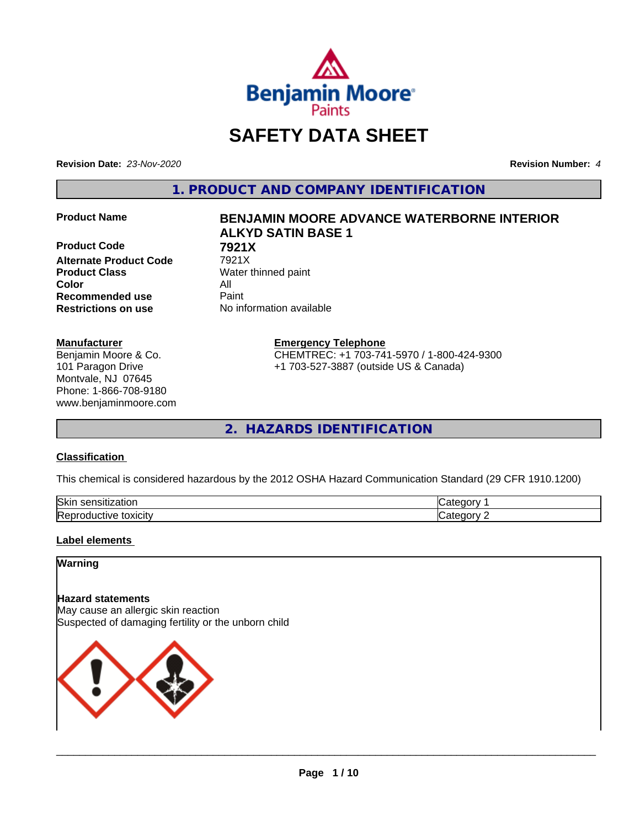

# **SAFETY DATA SHEET**

**Revision Date:** *23-Nov-2020* **Revision Number:** *4*

**1. PRODUCT AND COMPANY IDENTIFICATION**

**Product Code 68 7921X**<br>Alternate Product Code 7921X **Alternate Product Code Product Class** Water thinned paint **Color** All **Recommended use** Paint **Restrictions on use** No information available

#### **Manufacturer**

Benjamin Moore & Co. 101 Paragon Drive Montvale, NJ 07645 Phone: 1-866-708-9180 www.benjaminmoore.com

# **Product Name BENJAMIN MOORE ADVANCE WATERBORNE INTERIOR ALKYD SATIN BASE 1**

**Emergency Telephone**

CHEMTREC: +1 703-741-5970 / 1-800-424-9300 +1 703-527-3887 (outside US & Canada)

**2. HAZARDS IDENTIFICATION**

#### **Classification**

This chemical is considered hazardous by the 2012 OSHA Hazard Communication Standard (29 CFR 1910.1200)

| Skir<br>--<br>.<br>-----<br>யப<br>יי                  |          |
|-------------------------------------------------------|----------|
| lRen<br>.<br>---<br>IVE.<br><b>LUXIGIL</b><br>'N.<br> | .<br>. . |

#### **Label elements**

### **Warning**

#### **Hazard statements**

May cause an allergic skin reaction Suspected of damaging fertility or the unborn child

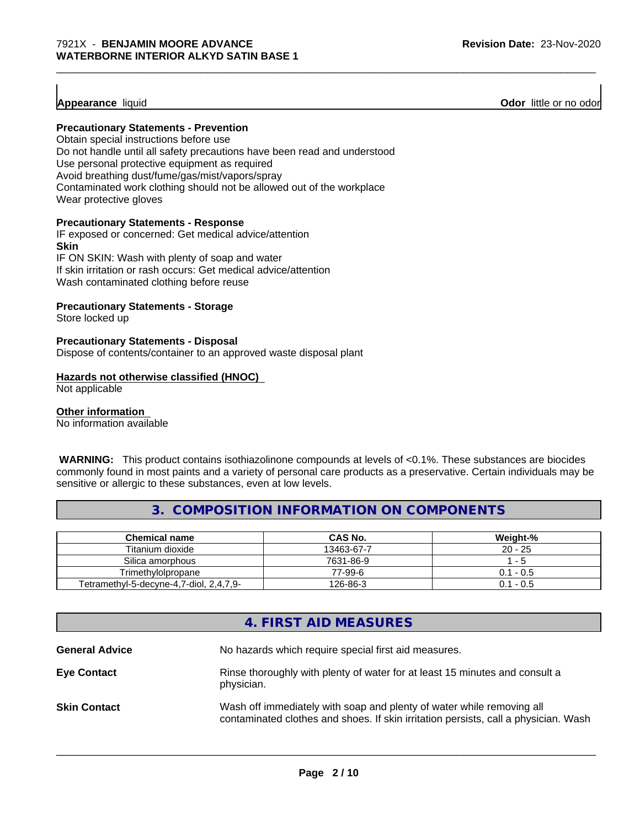**Appearance** liquid **Odor 11** and **Odor 11** and **Odor 11** and **Odor 11** and **Odor** 11 and **Odor** 11 and **Odor** 11 and **Odor** 11 and **Odor** 11 and **Odor** 11 and **Odor** 11 and **Odor** 11 and **Odor** 11 and **Odor** 11 and **Odor** 

#### **Precautionary Statements - Prevention**

Obtain special instructions before use Do not handle until all safety precautions have been read and understood Use personal protective equipment as required Avoid breathing dust/fume/gas/mist/vapors/spray Contaminated work clothing should not be allowed out of the workplace Wear protective gloves

#### **Precautionary Statements - Response**

IF exposed or concerned: Get medical advice/attention **Skin** IF ON SKIN: Wash with plenty of soap and water If skin irritation or rash occurs: Get medical advice/attention

Wash contaminated clothing before reuse

#### **Precautionary Statements - Storage**

Store locked up

#### **Precautionary Statements - Disposal**

Dispose of contents/container to an approved waste disposal plant

#### **Hazards not otherwise classified (HNOC)**

Not applicable

#### **Other information**

No information available

 **WARNING:** This product contains isothiazolinone compounds at levels of <0.1%. These substances are biocides commonly found in most paints and a variety of personal care products as a preservative. Certain individuals may be sensitive or allergic to these substances, even at low levels.

# **3. COMPOSITION INFORMATION ON COMPONENTS**

| Chemical name                           | CAS No.    | Weight-%  |
|-----------------------------------------|------------|-----------|
| Titanium dioxide                        | 13463-67-7 | $20 - 25$ |
| Silica amorphous                        | 7631-86-9  | - 5       |
| Trimethylolpropane                      | 77-99-6    | 0.1 - 0.5 |
| Tetramethyl-5-decyne-4,7-diol, 2,4,7,9- | 126-86-3   | 0.1 - 0.5 |

# **4. FIRST AID MEASURES**

| <b>General Advice</b> | No hazards which require special first aid measures.                                                                                                         |
|-----------------------|--------------------------------------------------------------------------------------------------------------------------------------------------------------|
| <b>Eye Contact</b>    | Rinse thoroughly with plenty of water for at least 15 minutes and consult a<br>physician.                                                                    |
| <b>Skin Contact</b>   | Wash off immediately with soap and plenty of water while removing all<br>contaminated clothes and shoes. If skin irritation persists, call a physician. Wash |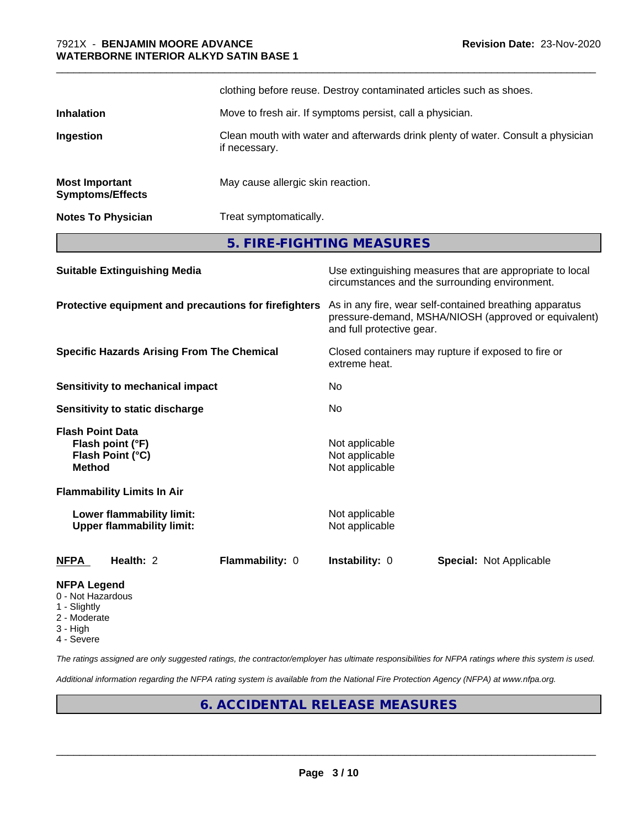|                                                  | clothing before reuse. Destroy contaminated articles such as shoes.                               |
|--------------------------------------------------|---------------------------------------------------------------------------------------------------|
| <b>Inhalation</b>                                | Move to fresh air. If symptoms persist, call a physician.                                         |
| Ingestion                                        | Clean mouth with water and afterwards drink plenty of water. Consult a physician<br>if necessary. |
| <b>Most Important</b><br><b>Symptoms/Effects</b> | May cause allergic skin reaction.                                                                 |
| <b>Notes To Physician</b>                        | Treat symptomatically.                                                                            |

\_\_\_\_\_\_\_\_\_\_\_\_\_\_\_\_\_\_\_\_\_\_\_\_\_\_\_\_\_\_\_\_\_\_\_\_\_\_\_\_\_\_\_\_\_\_\_\_\_\_\_\_\_\_\_\_\_\_\_\_\_\_\_\_\_\_\_\_\_\_\_\_\_\_\_\_\_\_\_\_\_\_\_\_\_\_\_\_\_\_\_\_\_

**5. FIRE-FIGHTING MEASURES**

| <b>Suitable Extinguishing Media</b>                                              | Use extinguishing measures that are appropriate to local<br>circumstances and the surrounding environment.                                   |
|----------------------------------------------------------------------------------|----------------------------------------------------------------------------------------------------------------------------------------------|
| Protective equipment and precautions for firefighters                            | As in any fire, wear self-contained breathing apparatus<br>pressure-demand, MSHA/NIOSH (approved or equivalent)<br>and full protective gear. |
| <b>Specific Hazards Arising From The Chemical</b>                                | Closed containers may rupture if exposed to fire or<br>extreme heat.                                                                         |
| Sensitivity to mechanical impact                                                 | No.                                                                                                                                          |
| Sensitivity to static discharge                                                  | No                                                                                                                                           |
| <b>Flash Point Data</b><br>Flash point (°F)<br>Flash Point (°C)<br><b>Method</b> | Not applicable<br>Not applicable<br>Not applicable                                                                                           |
| <b>Flammability Limits In Air</b>                                                |                                                                                                                                              |
| Lower flammability limit:<br><b>Upper flammability limit:</b>                    | Not applicable<br>Not applicable                                                                                                             |
| Health: 2<br>Flammability: 0<br><b>NFPA</b>                                      | <b>Instability: 0</b><br><b>Special: Not Applicable</b>                                                                                      |
| <b>NFPA Legend</b><br>0 - Not Hazardous                                          |                                                                                                                                              |

- 1 Slightly
- 2 Moderate
- 3 High
- 4 Severe

*The ratings assigned are only suggested ratings, the contractor/employer has ultimate responsibilities for NFPA ratings where this system is used.*

*Additional information regarding the NFPA rating system is available from the National Fire Protection Agency (NFPA) at www.nfpa.org.*

# **6. ACCIDENTAL RELEASE MEASURES**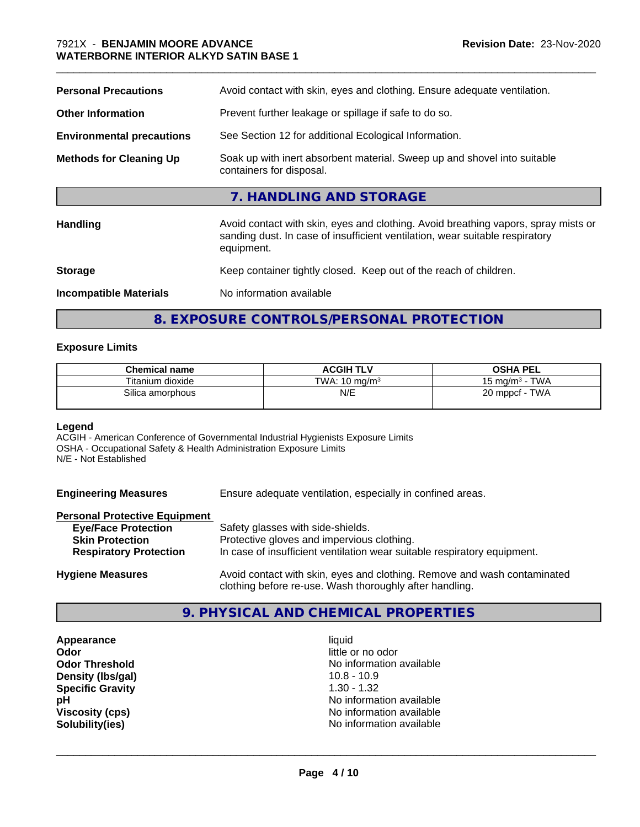#### \_\_\_\_\_\_\_\_\_\_\_\_\_\_\_\_\_\_\_\_\_\_\_\_\_\_\_\_\_\_\_\_\_\_\_\_\_\_\_\_\_\_\_\_\_\_\_\_\_\_\_\_\_\_\_\_\_\_\_\_\_\_\_\_\_\_\_\_\_\_\_\_\_\_\_\_\_\_\_\_\_\_\_\_\_\_\_\_\_\_\_\_\_ 7921X - **BENJAMIN MOORE ADVANCE WATERBORNE INTERIOR ALKYD SATIN BASE 1**

| <b>Personal Precautions</b>      | Avoid contact with skin, eyes and clothing. Ensure adequate ventilation.                                                                                                         |  |  |
|----------------------------------|----------------------------------------------------------------------------------------------------------------------------------------------------------------------------------|--|--|
| <b>Other Information</b>         | Prevent further leakage or spillage if safe to do so.                                                                                                                            |  |  |
| <b>Environmental precautions</b> | See Section 12 for additional Ecological Information.                                                                                                                            |  |  |
| <b>Methods for Cleaning Up</b>   | Soak up with inert absorbent material. Sweep up and shovel into suitable<br>containers for disposal.                                                                             |  |  |
|                                  | 7. HANDLING AND STORAGE                                                                                                                                                          |  |  |
| <b>Handling</b>                  | Avoid contact with skin, eyes and clothing. Avoid breathing vapors, spray mists or<br>sanding dust. In case of insufficient ventilation, wear suitable respiratory<br>equipment. |  |  |
| <b>Storage</b>                   | Keep container tightly closed. Keep out of the reach of children.                                                                                                                |  |  |
| <b>Incompatible Materials</b>    | No information available                                                                                                                                                         |  |  |

# **8. EXPOSURE CONTROLS/PERSONAL PROTECTION**

#### **Exposure Limits**

| <b>Chemical name</b> | <b>ACGIH TLV</b>         | <b>OSHA PEL</b>                 |
|----------------------|--------------------------|---------------------------------|
| Titanium dioxide     | TWA: $10 \text{ mg/m}^3$ | <b>TWA</b><br>15 mg/m $3 \cdot$ |
| Silica amorphous     | N/E                      | TWA<br>20 mppcf                 |

#### **Legend**

ACGIH - American Conference of Governmental Industrial Hygienists Exposure Limits OSHA - Occupational Safety & Health Administration Exposure Limits N/E - Not Established

| <b>Engineering Measures</b>          | Ensure adequate ventilation, especially in confined areas.                                                                          |
|--------------------------------------|-------------------------------------------------------------------------------------------------------------------------------------|
| <b>Personal Protective Equipment</b> |                                                                                                                                     |
| <b>Eye/Face Protection</b>           | Safety glasses with side-shields.                                                                                                   |
| <b>Skin Protection</b>               | Protective gloves and impervious clothing.                                                                                          |
| <b>Respiratory Protection</b>        | In case of insufficient ventilation wear suitable respiratory equipment.                                                            |
| <b>Hygiene Measures</b>              | Avoid contact with skin, eyes and clothing. Remove and wash contaminated<br>clothing before re-use. Wash thoroughly after handling. |

## **9. PHYSICAL AND CHEMICAL PROPERTIES**

**Appearance** liquid **Odor** little or no odor **Density (lbs/gal)** 10.8 - 10.9<br> **Specific Gravity** 1.30 - 1.32 **Specific Gravity** 

**Odor Threshold No information available** No information available **pH**<br>
Viscosity (cps) The Contract of Contract Contract Contract Contract Contract Contract Contract Contract Contra<br>
No information available **Viscosity (cps)** No information available **Solubility(ies)** No information available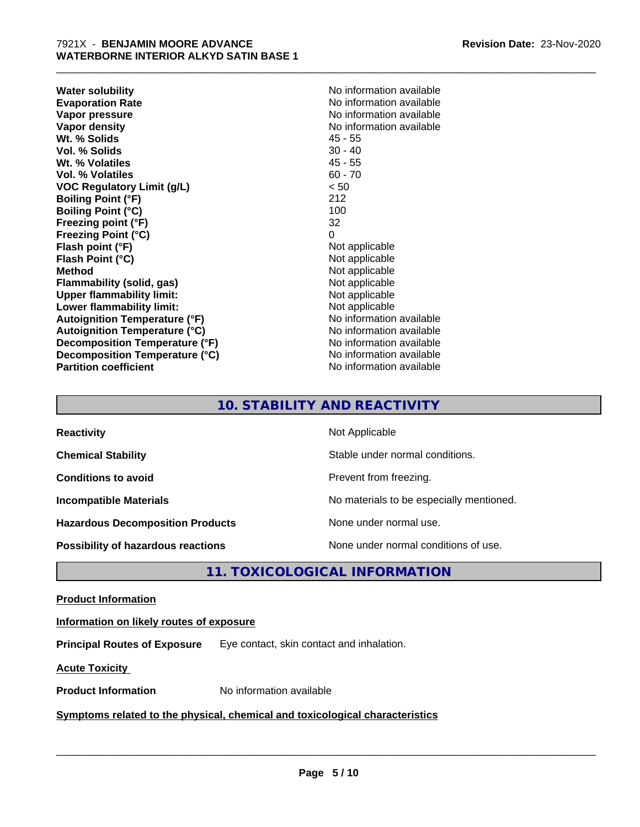**Water solubility**<br> **Evaporation Rate**<br> **Evaporation Rate**<br> **Evaporation Rate Vapor pressure** No information available **Vapor density**<br> **We Solids**<br>
We Solids
2019<br>
We Note that the Solid A5 - 55 **Wt. % Solids** 45 - 55<br> **Vol. % Solids** 30 - 40 **Vol. % Solids Wt. % Volatiles** 45 - 55 **Vol. % Volatiles** 60 - 70 **VOC Regulatory Limit (g/L)** < 50 **Boiling Point (°F)** 212 **Boiling Point (°C)** 100 **Freezing point (°F)** 32 **Freezing Point (°C)** 0<br> **Flash point (°F)** 0<br>
Not applicable **Flash point (°F) Flash Point (°C)** Not applicable **Method**<br> **Flammability (solid, gas)**<br> **Example 2018** Not applicable **Flammability** (solid, gas) **Upper flammability limit:** Not applicable **Lower flammability limit:**<br> **Autoignition Temperature (°F)** Not applicable Not applicable available **Autoignition Temperature (°F) Autoignition Temperature (°C)** No information available **Decomposition Temperature (°F)** No information available **Decomposition Temperature (°C)** No information available **Partition coefficient** No information available

**Evaporation Rate** No information available

\_\_\_\_\_\_\_\_\_\_\_\_\_\_\_\_\_\_\_\_\_\_\_\_\_\_\_\_\_\_\_\_\_\_\_\_\_\_\_\_\_\_\_\_\_\_\_\_\_\_\_\_\_\_\_\_\_\_\_\_\_\_\_\_\_\_\_\_\_\_\_\_\_\_\_\_\_\_\_\_\_\_\_\_\_\_\_\_\_\_\_\_\_

# **10. STABILITY AND REACTIVITY**

| <b>Reactivity</b>                       | Not Applicable                           |
|-----------------------------------------|------------------------------------------|
| <b>Chemical Stability</b>               | Stable under normal conditions.          |
| <b>Conditions to avoid</b>              | Prevent from freezing.                   |
| <b>Incompatible Materials</b>           | No materials to be especially mentioned. |
| <b>Hazardous Decomposition Products</b> | None under normal use.                   |
| Possibility of hazardous reactions      | None under normal conditions of use.     |

**11. TOXICOLOGICAL INFORMATION**

#### **Product Information**

#### **Information on likely routes of exposure**

**Principal Routes of Exposure** Eye contact, skin contact and inhalation.

**Acute Toxicity** 

**Product Information** No information available

#### **Symptoms related to the physical,chemical and toxicological characteristics**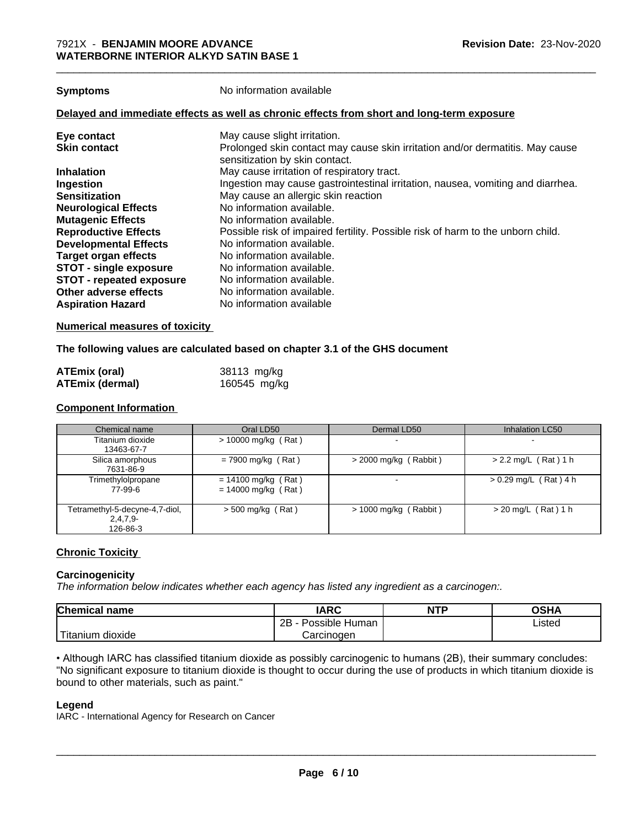**Symptoms** No information available

#### **Delayed and immediate effects as well as chronic effects from short and long-term exposure**

#### **Numerical measures of toxicity**

#### **The following values are calculated based on chapter 3.1 of the GHS document**

| ATEmix (oral)          | 38113 mg/kg  |
|------------------------|--------------|
| <b>ATEmix (dermal)</b> | 160545 mg/kg |

#### **Component Information**

| Chemical name                                            | Oral LD50                                      | Dermal LD50             | <b>Inhalation LC50</b>   |
|----------------------------------------------------------|------------------------------------------------|-------------------------|--------------------------|
| Titanium dioxide<br>13463-67-7                           | $> 10000$ mg/kg (Rat)                          |                         | $\overline{\phantom{0}}$ |
| Silica amorphous<br>7631-86-9                            | $= 7900$ mg/kg (Rat)                           | > 2000 mg/kg (Rabbit)   | $> 2.2$ mg/L (Rat) 1 h   |
| Trimethylolpropane<br>77-99-6                            | $= 14100$ mg/kg (Rat)<br>$= 14000$ mg/kg (Rat) |                         | $> 0.29$ mg/L (Rat) 4 h  |
| Tetramethyl-5-decyne-4,7-diol,<br>$2,4,7,9-$<br>126-86-3 | > 500 mg/kg (Rat)                              | $> 1000$ mg/kg (Rabbit) | $>$ 20 mg/L (Rat) 1 h    |

#### **Chronic Toxicity**

#### **Carcinogenicity**

*The information below indicateswhether each agency has listed any ingredient as a carcinogen:.*

| <b>Chemical name</b>        | <b>IARC</b>                      | <b>NTP</b> | ດເ⊔∧<br>UJNA |
|-----------------------------|----------------------------------|------------|--------------|
|                             | . .<br>2B<br>Possible<br>: Human |            | Listed       |
| . dioxide<br><b>itanium</b> | Carcinogen                       |            |              |

• Although IARC has classified titanium dioxide as possibly carcinogenic to humans (2B), their summary concludes: "No significant exposure to titanium dioxide is thought to occur during the use of products in which titanium dioxide is bound to other materials, such as paint."

#### **Legend**

IARC - International Agency for Research on Cancer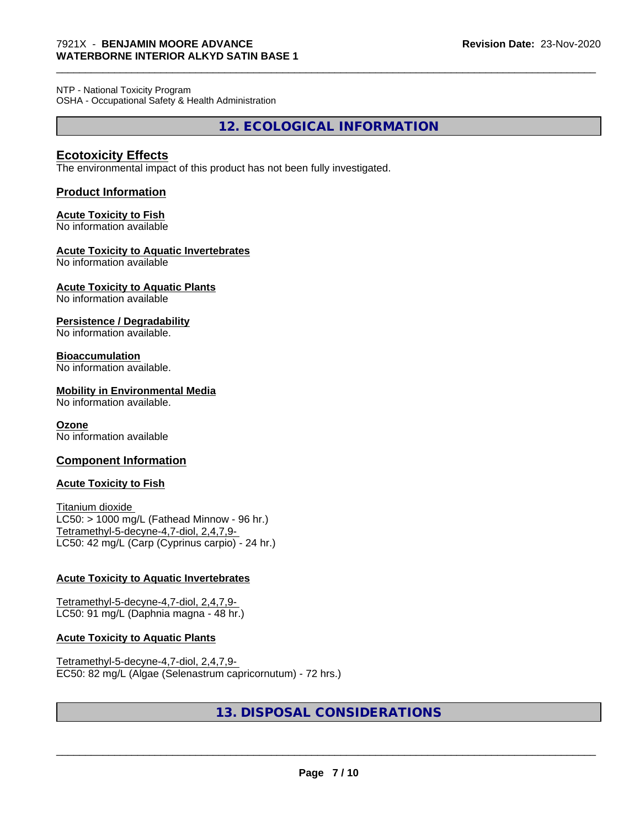NTP - National Toxicity Program OSHA - Occupational Safety & Health Administration

**12. ECOLOGICAL INFORMATION**

\_\_\_\_\_\_\_\_\_\_\_\_\_\_\_\_\_\_\_\_\_\_\_\_\_\_\_\_\_\_\_\_\_\_\_\_\_\_\_\_\_\_\_\_\_\_\_\_\_\_\_\_\_\_\_\_\_\_\_\_\_\_\_\_\_\_\_\_\_\_\_\_\_\_\_\_\_\_\_\_\_\_\_\_\_\_\_\_\_\_\_\_\_

### **Ecotoxicity Effects**

The environmental impact of this product has not been fully investigated.

#### **Product Information**

#### **Acute Toxicity to Fish**

No information available

#### **Acute Toxicity to Aquatic Invertebrates**

No information available

# **Acute Toxicity to Aquatic Plants**

No information available

#### **Persistence / Degradability**

No information available.

#### **Bioaccumulation**

No information available.

#### **Mobility in Environmental Media**

No information available.

#### **Ozone**

No information available

#### **Component Information**

#### **Acute Toxicity to Fish**

Titanium dioxide  $LC50:$  > 1000 mg/L (Fathead Minnow - 96 hr.) Tetramethyl-5-decyne-4,7-diol, 2,4,7,9- LC50: 42 mg/L (Carp (Cyprinus carpio) - 24 hr.)

#### **Acute Toxicity to Aquatic Invertebrates**

Tetramethyl-5-decyne-4,7-diol, 2,4,7,9- LC50: 91 mg/L (Daphnia magna - 48 hr.)

#### **Acute Toxicity to Aquatic Plants**

Tetramethyl-5-decyne-4,7-diol, 2,4,7,9- EC50: 82 mg/L (Algae (Selenastrum capricornutum) - 72 hrs.)

# **13. DISPOSAL CONSIDERATIONS**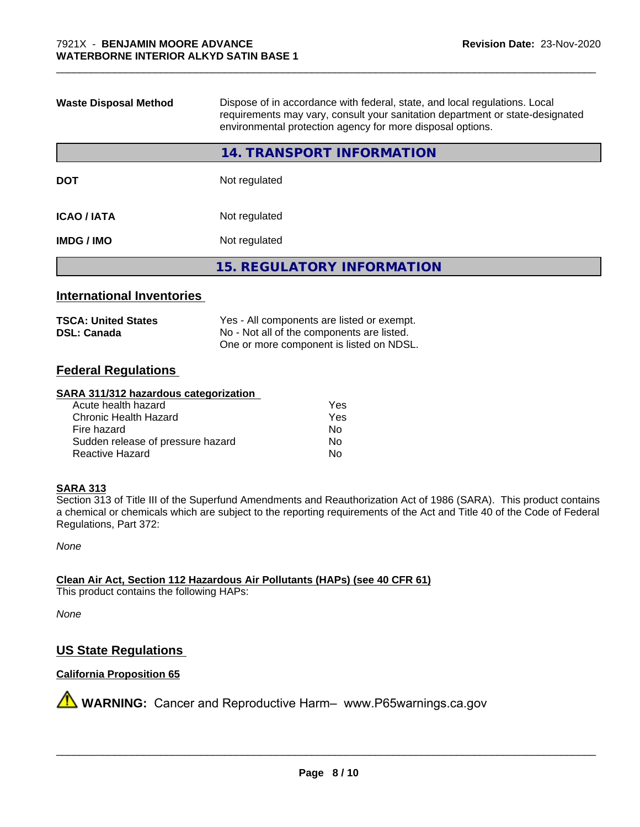| <b>Waste Disposal Method</b> | Dispose of in accordance with federal, state, and local regulations. Local<br>requirements may vary, consult your sanitation department or state-designated<br>environmental protection agency for more disposal options. |  |  |
|------------------------------|---------------------------------------------------------------------------------------------------------------------------------------------------------------------------------------------------------------------------|--|--|
|                              | <b>14. TRANSPORT INFORMATION</b>                                                                                                                                                                                          |  |  |
| <b>DOT</b>                   | Not regulated                                                                                                                                                                                                             |  |  |
| <b>ICAO/IATA</b>             | Not regulated                                                                                                                                                                                                             |  |  |
| <b>IMDG/IMO</b>              | Not regulated                                                                                                                                                                                                             |  |  |
|                              | <b>15. REGULATORY INFORMATION</b>                                                                                                                                                                                         |  |  |

\_\_\_\_\_\_\_\_\_\_\_\_\_\_\_\_\_\_\_\_\_\_\_\_\_\_\_\_\_\_\_\_\_\_\_\_\_\_\_\_\_\_\_\_\_\_\_\_\_\_\_\_\_\_\_\_\_\_\_\_\_\_\_\_\_\_\_\_\_\_\_\_\_\_\_\_\_\_\_\_\_\_\_\_\_\_\_\_\_\_\_\_\_

#### **International Inventories**

| <b>TSCA: United States</b> | Yes - All components are listed or exempt. |
|----------------------------|--------------------------------------------|
| <b>DSL: Canada</b>         | No - Not all of the components are listed. |
|                            | One or more component is listed on NDSL.   |

#### **Federal Regulations**

#### **SARA 311/312 hazardous categorization**

| Acute health hazard               | Yes |
|-----------------------------------|-----|
| Chronic Health Hazard             | Yes |
| Fire hazard                       | N٥  |
| Sudden release of pressure hazard | Nο  |
| Reactive Hazard                   | N٥  |

#### **SARA 313**

Section 313 of Title III of the Superfund Amendments and Reauthorization Act of 1986 (SARA). This product contains a chemical or chemicals which are subject to the reporting requirements of the Act and Title 40 of the Code of Federal Regulations, Part 372:

*None*

### **Clean Air Act,Section 112 Hazardous Air Pollutants (HAPs) (see 40 CFR 61)**

This product contains the following HAPs:

*None*

### **US State Regulations**

## **California Proposition 65**

**A** WARNING: Cancer and Reproductive Harm– www.P65warnings.ca.gov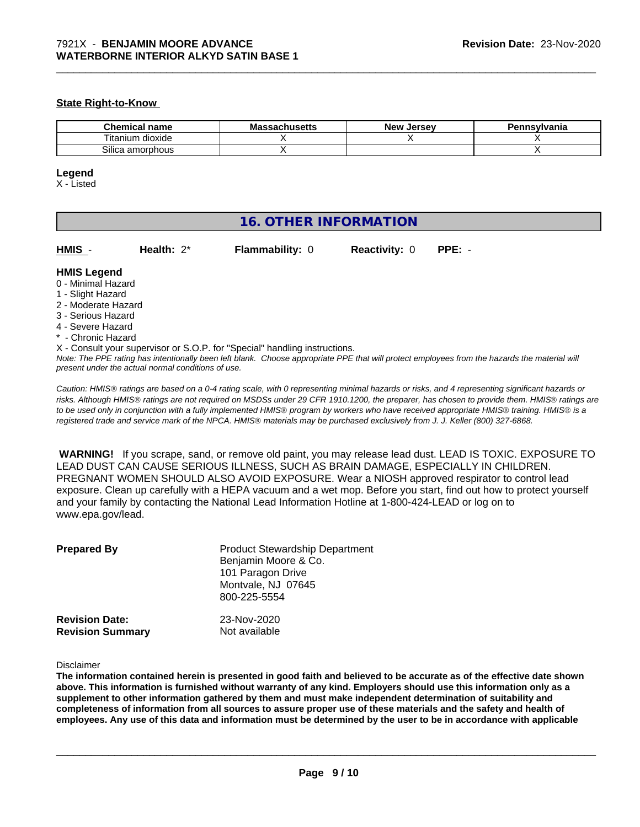#### **State Right-to-Know**

| $\sim$ and $\sim$<br>чань             | ш<br>uscus | Iarcav<br>Ne<br>-35 |  |
|---------------------------------------|------------|---------------------|--|
| --<br>dioxide<br>l itanium            |            |                     |  |
| Silica<br>יי ה<br>am<br>าor<br>rpnous |            |                     |  |

\_\_\_\_\_\_\_\_\_\_\_\_\_\_\_\_\_\_\_\_\_\_\_\_\_\_\_\_\_\_\_\_\_\_\_\_\_\_\_\_\_\_\_\_\_\_\_\_\_\_\_\_\_\_\_\_\_\_\_\_\_\_\_\_\_\_\_\_\_\_\_\_\_\_\_\_\_\_\_\_\_\_\_\_\_\_\_\_\_\_\_\_\_

#### **Legend**

X - Listed

| <b>16. OTHER INFORMATION</b>                                                                                                                                                                                |               |                                                                            |                      |                                                                                                                                               |
|-------------------------------------------------------------------------------------------------------------------------------------------------------------------------------------------------------------|---------------|----------------------------------------------------------------------------|----------------------|-----------------------------------------------------------------------------------------------------------------------------------------------|
| HMIS -                                                                                                                                                                                                      | Health: $2^*$ | <b>Flammability: 0</b>                                                     | <b>Reactivity: 0</b> | $PPE: -$                                                                                                                                      |
| <b>HMIS Legend</b><br>0 - Minimal Hazard<br>1 - Slight Hazard<br>2 - Moderate Hazard<br>3 - Serious Hazard<br>4 - Severe Hazard<br>* - Chronic Hazard<br>present under the actual normal conditions of use. |               | X - Consult your supervisor or S.O.P. for "Special" handling instructions. |                      | Note: The PPE rating has intentionally been left blank. Choose appropriate PPE that will protect employees from the hazards the material will |

*Caution: HMISÒ ratings are based on a 0-4 rating scale, with 0 representing minimal hazards or risks, and 4 representing significant hazards or risks. Although HMISÒ ratings are not required on MSDSs under 29 CFR 1910.1200, the preparer, has chosen to provide them. HMISÒ ratings are to be used only in conjunction with a fully implemented HMISÒ program by workers who have received appropriate HMISÒ training. HMISÒ is a registered trade and service mark of the NPCA. HMISÒ materials may be purchased exclusively from J. J. Keller (800) 327-6868.*

 **WARNING!** If you scrape, sand, or remove old paint, you may release lead dust. LEAD IS TOXIC. EXPOSURE TO LEAD DUST CAN CAUSE SERIOUS ILLNESS, SUCH AS BRAIN DAMAGE, ESPECIALLY IN CHILDREN. PREGNANT WOMEN SHOULD ALSO AVOID EXPOSURE.Wear a NIOSH approved respirator to control lead exposure. Clean up carefully with a HEPA vacuum and a wet mop. Before you start, find out how to protect yourself and your family by contacting the National Lead Information Hotline at 1-800-424-LEAD or log on to www.epa.gov/lead.

| <b>Prepared By</b>      | <b>Product Stewardship Department</b><br>Benjamin Moore & Co.<br>101 Paragon Drive<br>Montvale, NJ 07645<br>800-225-5554 |
|-------------------------|--------------------------------------------------------------------------------------------------------------------------|
| <b>Revision Date:</b>   | 23-Nov-2020                                                                                                              |
| <b>Revision Summary</b> | Not available                                                                                                            |

#### Disclaimer

The information contained herein is presented in good faith and believed to be accurate as of the effective date shown above. This information is furnished without warranty of any kind. Employers should use this information only as a **supplement to other information gathered by them and must make independent determination of suitability and** completeness of information from all sources to assure proper use of these materials and the safety and health of employees. Any use of this data and information must be determined by the user to be in accordance with applicable